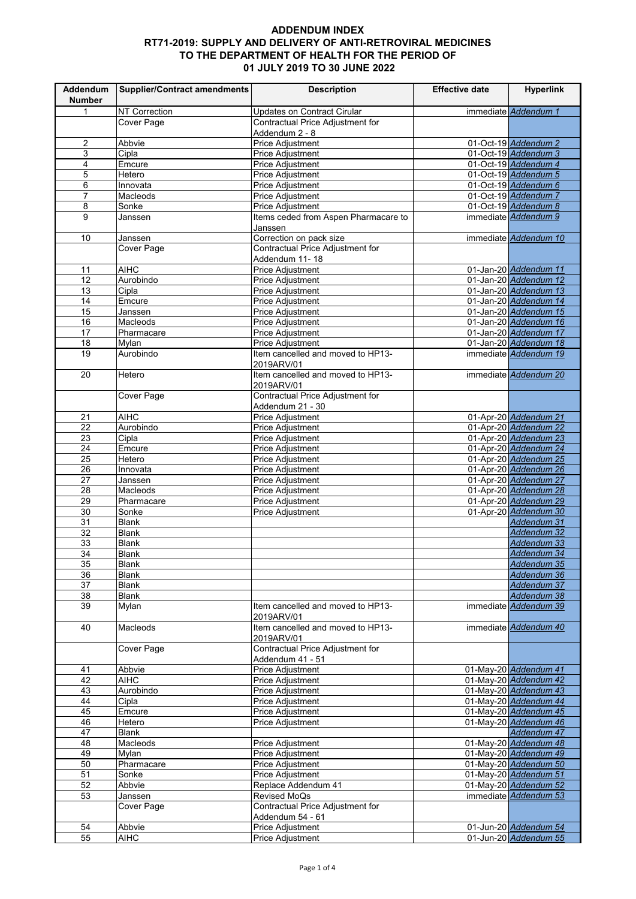| Addendum<br><b>Number</b> | <b>Supplier/Contract amendments</b> | <b>Description</b>                                       | <b>Effective date</b> | <b>Hyperlink</b>                               |
|---------------------------|-------------------------------------|----------------------------------------------------------|-----------------------|------------------------------------------------|
| $\mathbf{1}$              | NT Correction                       | <b>Updates on Contract Cirular</b>                       |                       | immediate Addendum 1                           |
|                           | Cover Page                          | Contractual Price Adjustment for                         |                       |                                                |
|                           |                                     | Addendum 2 - 8                                           |                       |                                                |
| $\overline{2}$            | Abbvie                              | <b>Price Adjustment</b>                                  |                       | 01-Oct-19 Addendum 2                           |
| $\mathsf 3$               | Cipla                               | <b>Price Adjustment</b>                                  |                       | 01-Oct-19 Addendum 3                           |
| $\overline{\mathbf{4}}$   | Emcure                              | Price Adjustment                                         |                       | 01-Oct-19 Addendum 4                           |
| $\overline{5}$            | Hetero                              | Price Adjustment                                         |                       | 01-Oct-19 Addendum 5                           |
| $\,6$                     | Innovata                            | <b>Price Adjustment</b>                                  |                       | 01-Oct-19 Addendum 6                           |
| $\overline{7}$            | Macleods<br>Sonke                   | Price Adjustment                                         |                       | 01-Oct-19 Addendum 7<br>01-Oct-19 Addendum 8   |
| 8<br>9                    | Janssen                             | Price Adjustment<br>Items ceded from Aspen Pharmacare to |                       | immediate Addendum 9                           |
|                           |                                     | Janssen                                                  |                       |                                                |
| 10                        | Janssen                             | Correction on pack size                                  |                       | immediate Addendum 10                          |
|                           | Cover Page                          | Contractual Price Adjustment for                         |                       |                                                |
|                           |                                     | Addendum 11-18                                           |                       |                                                |
| 11                        | <b>AIHC</b>                         | Price Adjustment                                         |                       | 01-Jan-20 Addendum 11                          |
| 12                        | Aurobindo                           | Price Adjustment                                         |                       | 01-Jan-20 Addendum 12                          |
| 13                        | Cipla                               | Price Adjustment                                         |                       | 01-Jan-20 Addendum 13                          |
| 14<br>15                  | Emcure                              | <b>Price Adjustment</b><br>Price Adjustment              |                       | 01-Jan-20 Addendum 14<br>01-Jan-20 Addendum 15 |
| 16                        | Janssen<br>Macleods                 | Price Adjustment                                         |                       | 01-Jan-20 Addendum 16                          |
| 17                        | Pharmacare                          | Price Adjustment                                         |                       | 01-Jan-20 Addendum 17                          |
| 18                        | Mylan                               | Price Adjustment                                         |                       | 01-Jan-20 Addendum 18                          |
| 19                        | Aurobindo                           | Item cancelled and moved to HP13-                        |                       | immediate Addendum 19                          |
|                           |                                     | 2019ARV/01                                               |                       |                                                |
| 20                        | Hetero                              | Item cancelled and moved to HP13-                        |                       | immediate Addendum 20                          |
|                           |                                     | 2019ARV/01                                               |                       |                                                |
|                           | <b>Cover Page</b>                   | Contractual Price Adjustment for                         |                       |                                                |
|                           |                                     | Addendum 21 - 30                                         |                       |                                                |
| 21                        | <b>AIHC</b>                         | <b>Price Adjustment</b>                                  |                       | 01-Apr-20 Addendum 21                          |
| $\overline{22}$           | Aurobindo                           | <b>Price Adjustment</b>                                  |                       | 01-Apr-20 Addendum 22<br>01-Apr-20 Addendum 23 |
| 23<br>24                  | Cipla<br>Emcure                     | <b>Price Adjustment</b><br>Price Adjustment              |                       | 01-Apr-20 Addendum 24                          |
| 25                        | Hetero                              | Price Adjustment                                         |                       | 01-Apr-20 Addendum 25                          |
| $\overline{26}$           | Innovata                            | <b>Price Adjustment</b>                                  |                       | 01-Apr-20 Addendum 26                          |
| 27                        | Janssen                             | <b>Price Adjustment</b>                                  |                       | 01-Apr-20 Addendum 27                          |
| 28                        | Macleods                            | <b>Price Adjustment</b>                                  |                       | 01-Apr-20 Addendum 28                          |
| 29                        | Pharmacare                          | Price Adjustment                                         |                       | 01-Apr-20 Addendum 29                          |
| $\overline{30}$           | Sonke                               | Price Adjustment                                         |                       | 01-Apr-20 Addendum 30                          |
| $\overline{31}$           | <b>Blank</b>                        |                                                          |                       | Addendum 31                                    |
| 32                        | <b>Blank</b><br><b>Blank</b>        |                                                          |                       | Addendum 32                                    |
| 33<br>34                  | <b>Blank</b>                        |                                                          |                       | Addendum 33<br>Addendum 34                     |
| 35                        | <b>Blank</b>                        |                                                          |                       | Addendum 35                                    |
| 36                        | <b>Blank</b>                        |                                                          |                       | Addendum 36                                    |
| 37                        | <b>Blank</b>                        |                                                          |                       | Addendum 37                                    |
| 38                        | <b>Blank</b>                        |                                                          |                       | Addendum 38                                    |
| 39                        | Mylan                               | Item cancelled and moved to HP13-                        |                       | immediate Addendum 39                          |
|                           |                                     | 2019ARV/01                                               |                       |                                                |
| 40                        | Macleods                            | Item cancelled and moved to HP13-                        |                       | immediate Addendum 40                          |
|                           |                                     | 2019ARV/01<br>Contractual Price Adjustment for           |                       |                                                |
|                           | Cover Page                          |                                                          |                       |                                                |
| 41                        | Abbvie                              | Addendum 41 - 51<br>Price Adjustment                     |                       | 01-May-20 Addendum 41                          |
| 42                        | <b>AIHC</b>                         | Price Adjustment                                         |                       | 01-May-20 Addendum 42                          |
| 43                        | Aurobindo                           | Price Adjustment                                         |                       | 01-May-20 Addendum 43                          |
| 44                        | Cipla                               | Price Adjustment                                         |                       | 01-May-20 Addendum 44                          |
| 45                        | Emcure                              | Price Adjustment                                         |                       | 01-May-20 Addendum 45                          |
| 46                        | Hetero                              | <b>Price Adjustment</b>                                  |                       | 01-May-20 Addendum 46                          |
| 47                        | <b>Blank</b>                        |                                                          |                       | Addendum 47                                    |
| 48                        | Macleods                            | Price Adjustment                                         |                       | 01-May-20 Addendum 48                          |
| 49                        | Mylan                               | Price Adjustment                                         |                       | 01-May-20 Addendum 49                          |
| 50<br>51                  | Pharmacare<br>Sonke                 | <b>Price Adjustment</b><br><b>Price Adjustment</b>       |                       | 01-May-20 Addendum 50                          |
| $\overline{52}$           | Abbvie                              | Replace Addendum 41                                      |                       | 01-May-20 Addendum 51<br>01-May-20 Addendum 52 |
| 53                        | Janssen                             | Revised MoQs                                             |                       | immediate Addendum 53                          |
|                           | Cover Page                          | Contractual Price Adjustment for                         |                       |                                                |
|                           |                                     | Addendum 54 - 61                                         |                       |                                                |
| 54                        | Abbvie                              | Price Adjustment                                         |                       | 01-Jun-20 Addendum 54                          |
| 55                        | <b>AIHC</b>                         | <b>Price Adjustment</b>                                  |                       | 01-Jun-20 Addendum 55                          |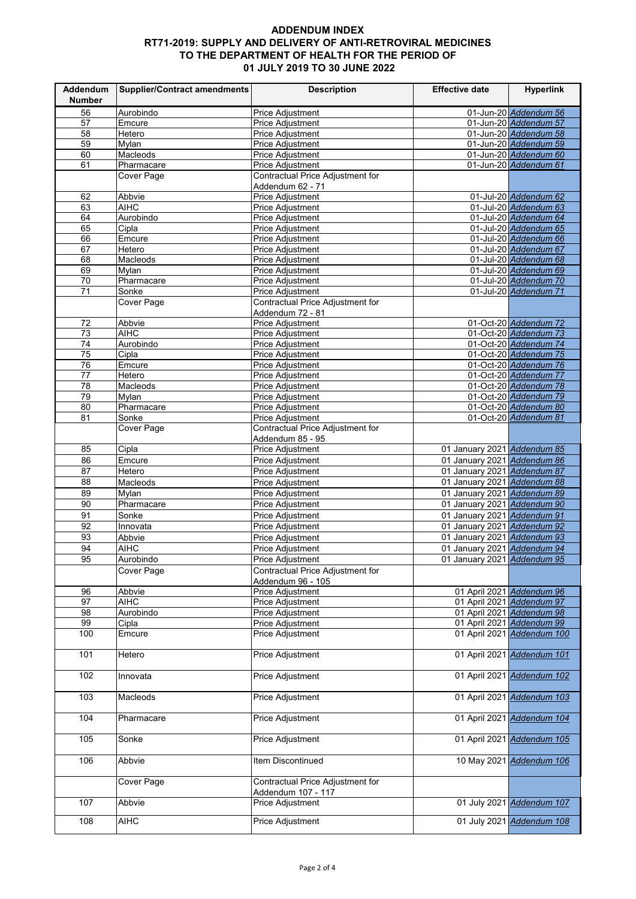| Addendum<br><b>Number</b> | Supplier/Contract amendments    | <b>Description</b>                                     | <b>Effective date</b>       | <b>Hyperlink</b>                               |
|---------------------------|---------------------------------|--------------------------------------------------------|-----------------------------|------------------------------------------------|
| 56                        | Aurobindo                       | <b>Price Adjustment</b>                                |                             | 01-Jun-20 Addendum 56                          |
| 57                        | Emcure                          | <b>Price Adjustment</b>                                |                             | 01-Jun-20 Addendum 57                          |
| 58                        | Hetero                          | <b>Price Adjustment</b>                                |                             | 01-Jun-20 Addendum 58                          |
| 59                        | <b>Mylan</b>                    | Price Adjustment                                       |                             | 01-Jun-20 Addendum 59                          |
| 60                        | Macleods                        | <b>Price Adjustment</b>                                |                             | 01-Jun-20 Addendum 60                          |
| 61                        | Pharmacare                      | Price Adjustment                                       |                             | 01-Jun-20 Addendum 61                          |
|                           | Cover Page                      | Contractual Price Adjustment for                       |                             |                                                |
|                           |                                 | Addendum 62 - 71                                       |                             |                                                |
| 62                        | Abbvie                          | <b>Price Adjustment</b>                                |                             | 01-Jul-20 Addendum 62                          |
| 63                        | <b>AIHC</b>                     | Price Adjustment                                       |                             | 01-Jul-20 Addendum 63                          |
| 64                        | Aurobindo                       | Price Adjustment                                       |                             | 01-Jul-20 Addendum 64                          |
| 65                        | Cipla                           | <b>Price Adjustment</b>                                |                             | 01-Jul-20 Addendum 65                          |
| 66                        | Emcure                          | <b>Price Adjustment</b>                                |                             | 01-Jul-20 Addendum 66                          |
| 67                        | Hetero                          | <b>Price Adjustment</b>                                |                             | 01-Jul-20 Addendum 67                          |
| 68                        | Macleods                        | Price Adjustment                                       |                             | 01-Jul-20 Addendum 68                          |
| 69                        | Mylan                           | <b>Price Adjustment</b>                                |                             | 01-Jul-20 Addendum 69                          |
| 70                        | Pharmacare                      | Price Adjustment                                       |                             | 01-Jul-20 Addendum 70                          |
| 71                        | Sonke                           | Price Adjustment                                       |                             | 01-Jul-20 Addendum 71                          |
|                           | <b>Cover Page</b>               | Contractual Price Adjustment for                       |                             |                                                |
|                           |                                 | Addendum 72 - 81                                       |                             |                                                |
| 72                        | Abbvie                          | Price Adjustment                                       |                             | 01-Oct-20 Addendum 72                          |
| 73                        | <b>AIHC</b>                     | <b>Price Adjustment</b>                                |                             | 01-Oct-20 Addendum 73                          |
| 74                        | Aurobindo                       | <b>Price Adjustment</b>                                |                             | 01-Oct-20 Addendum 74<br>01-Oct-20 Addendum 75 |
| 75                        | Cipla<br>Emcure                 | <b>Price Adjustment</b><br><b>Price Adiustment</b>     |                             |                                                |
| 76<br>77                  | Hetero                          | <b>Price Adjustment</b>                                |                             | 01-Oct-20 Addendum 76<br>01-Oct-20 Addendum 77 |
| 78                        | $\overline{\mathsf{M}}$ acleods | <b>Price Adiustment</b>                                |                             | 01-Oct-20 Addendum 78                          |
| 79                        | Mylan                           | <b>Price Adjustment</b>                                |                             | 01-Oct-20 Addendum 79                          |
| 80                        | Pharmacare                      | Price Adjustment                                       |                             | 01-Oct-20 Addendum 80                          |
| 81                        | Sonke                           | Price Adjustment                                       |                             | 01-Oct-20 Addendum 81                          |
|                           | Cover Page                      | Contractual Price Adjustment for                       |                             |                                                |
|                           |                                 | Addendum 85 - 95                                       |                             |                                                |
| 85                        | Cipla                           | <b>Price Adjustment</b>                                | 01 January 2021 Addendum 85 |                                                |
| 86                        | Emcure                          | Price Adjustment                                       | 01 January 2021 Addendum 86 |                                                |
| 87                        | Hetero                          | <b>Price Adjustment</b>                                | 01 January 2021 Addendum 87 |                                                |
| 88                        | Macleods                        | Price Adjustment                                       | 01 January 2021 Addendum 88 |                                                |
| 89                        | Mylan                           | Price Adjustment                                       | 01 January 2021 Addendum 89 |                                                |
| 90                        | Pharmacare                      | <b>Price Adjustment</b>                                | 01 January 2021 Addendum 90 |                                                |
| 91                        | Sonke                           | Price Adjustment                                       | 01 January 2021 Addendum 91 |                                                |
| 92                        | Innovata                        | <b>Price Adjustment</b>                                | 01 January 2021 Addendum 92 |                                                |
| 93                        | Abbvie                          | Price Adjustment                                       | 01 January 2021 Addendum 93 |                                                |
| 94                        | <b>AIHC</b>                     | Price Adjustment                                       | 01 January 2021 Addendum 94 |                                                |
| 95                        | Aurobindo                       | <b>Price Adjustment</b>                                | 01 January 2021 Addendum 95 |                                                |
|                           | Cover Page                      | Contractual Price Adjustment for                       |                             |                                                |
|                           |                                 | Addendum 96 - 105                                      |                             |                                                |
| 96                        | Abbvie                          | Price Adjustment                                       |                             | 01 April 2021 Addendum 96                      |
| 97                        | <b>AIHC</b>                     | Price Adjustment                                       |                             | 01 April 2021 Addendum 97                      |
| 98                        | Aurobindo                       | Price Adjustment                                       |                             | 01 April 2021 Addendum 98                      |
| 99                        | Cipla                           | Price Adjustment                                       |                             | 01 April 2021 Addendum 99                      |
| 100                       | Emcure                          | Price Adjustment                                       |                             | 01 April 2021 Addendum 100                     |
| 101                       | Hetero                          | Price Adjustment                                       |                             | 01 April 2021 Addendum 101                     |
| 102                       | Innovata                        | Price Adjustment                                       |                             | 01 April 2021 Addendum 102                     |
| 103                       | Macleods                        | <b>Price Adjustment</b>                                |                             | 01 April 2021 Addendum 103                     |
| 104                       | Pharmacare                      | <b>Price Adjustment</b>                                |                             | 01 April 2021 Addendum 104                     |
| 105                       | Sonke                           | <b>Price Adjustment</b>                                |                             | 01 April 2021 Addendum 105                     |
| 106                       | Abbvie                          | Item Discontinued                                      |                             | 10 May 2021 Addendum 106                       |
|                           | Cover Page                      | Contractual Price Adjustment for<br>Addendum 107 - 117 |                             |                                                |
| 107                       | Abbvie                          | Price Adjustment                                       |                             | 01 July 2021 Addendum 107                      |
| 108                       | <b>AIHC</b>                     | <b>Price Adjustment</b>                                |                             | 01 July 2021 Addendum 108                      |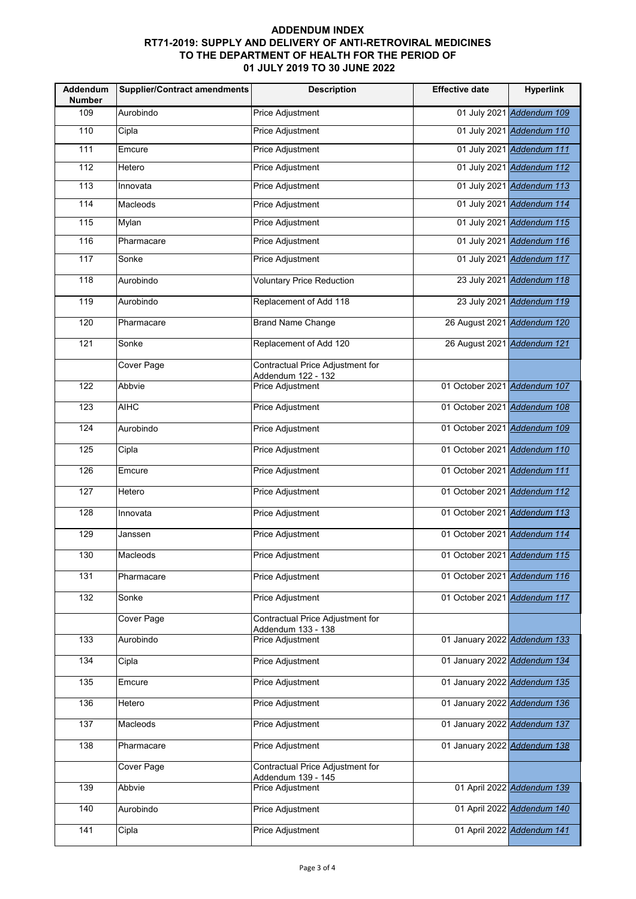| Addendum<br><b>Number</b> | <b>Supplier/Contract amendments</b> | <b>Description</b>                                     | <b>Effective date</b>        | <b>Hyperlink</b>           |
|---------------------------|-------------------------------------|--------------------------------------------------------|------------------------------|----------------------------|
| 109                       | Aurobindo                           | <b>Price Adjustment</b>                                |                              | 01 July 2021 Addendum 109  |
| 110                       | Cipla                               | Price Adjustment                                       |                              | 01 July 2021 Addendum 110  |
| $\frac{1}{111}$           | Emcure                              | <b>Price Adjustment</b>                                |                              | 01 July 2021 Addendum 111  |
| 112                       | Hetero                              | Price Adjustment                                       |                              | 01 July 2021 Addendum 112  |
| 113                       | Innovata                            | Price Adjustment                                       |                              | 01 July 2021 Addendum 113  |
| 114                       | Macleods                            | <b>Price Adjustment</b>                                |                              | 01 July 2021 Addendum 114  |
| 115                       | Mylan                               | Price Adjustment                                       |                              | 01 July 2021 Addendum 115  |
| 116                       | Pharmacare                          | Price Adjustment                                       |                              | 01 July 2021 Addendum 116  |
| 117                       | Sonke                               | Price Adjustment                                       |                              | 01 July 2021 Addendum 117  |
| 118                       | Aurobindo                           | <b>Voluntary Price Reduction</b>                       |                              | 23 July 2021 Addendum 118  |
| 119                       | Aurobindo                           | Replacement of Add 118                                 |                              | 23 July 2021 Addendum 119  |
| 120                       | Pharmacare                          | <b>Brand Name Change</b>                               | 26 August 2021 Addendum 120  |                            |
| 121                       | Sonke                               | Replacement of Add 120                                 | 26 August 2021 Addendum 121  |                            |
|                           | Cover Page                          | Contractual Price Adjustment for<br>Addendum 122 - 132 |                              |                            |
| 122                       | Abbvie                              | Price Adjustment                                       | 01 October 2021 Addendum 107 |                            |
| 123                       | <b>AIHC</b>                         | <b>Price Adjustment</b>                                | 01 October 2021 Addendum 108 |                            |
| 124                       | Aurobindo                           | <b>Price Adjustment</b>                                | 01 October 2021 Addendum 109 |                            |
| 125                       | Cipla                               | Price Adjustment                                       | 01 October 2021 Addendum 110 |                            |
| 126                       | Emcure                              | Price Adjustment                                       | 01 October 2021 Addendum 111 |                            |
| 127                       | Hetero                              | Price Adjustment                                       | 01 October 2021 Addendum 112 |                            |
| 128                       | Innovata                            | <b>Price Adjustment</b>                                | 01 October 2021 Addendum 113 |                            |
| 129                       | Janssen                             | <b>Price Adjustment</b>                                | 01 October 2021 Addendum 114 |                            |
| 130                       | Macleods                            | <b>Price Adjustment</b>                                | 01 October 2021 Addendum 115 |                            |
| 131                       | Pharmacare                          | Price Adjustment                                       | 01 October 2021 Addendum 116 |                            |
| $\overline{132}$          | Sonke                               | <b>Price Adjustment</b>                                | 01 October 2021 Addendum 117 |                            |
|                           | Cover Page                          | Contractual Price Adjustment for<br>Addendum 133 - 138 |                              |                            |
| 133                       | Aurobindo                           | <b>Price Adjustment</b>                                | 01 January 2022 Addendum 133 |                            |
| 134                       | Cipla                               | <b>Price Adjustment</b>                                | 01 January 2022 Addendum 134 |                            |
| 135                       | Emcure                              | Price Adjustment                                       | 01 January 2022 Addendum 135 |                            |
| 136                       | Hetero                              | Price Adjustment                                       | 01 January 2022 Addendum 136 |                            |
| 137                       | Macleods                            | Price Adjustment                                       | 01 January 2022 Addendum 137 |                            |
| 138                       | Pharmacare                          | <b>Price Adjustment</b>                                | 01 January 2022 Addendum 138 |                            |
|                           | Cover Page                          | Contractual Price Adjustment for<br>Addendum 139 - 145 |                              |                            |
| 139                       | Abbvie                              | <b>Price Adjustment</b>                                |                              | 01 April 2022 Addendum 139 |
| 140                       | Aurobindo                           | <b>Price Adjustment</b>                                |                              | 01 April 2022 Addendum 140 |
| 141                       | Cipla                               | Price Adjustment                                       |                              | 01 April 2022 Addendum 141 |